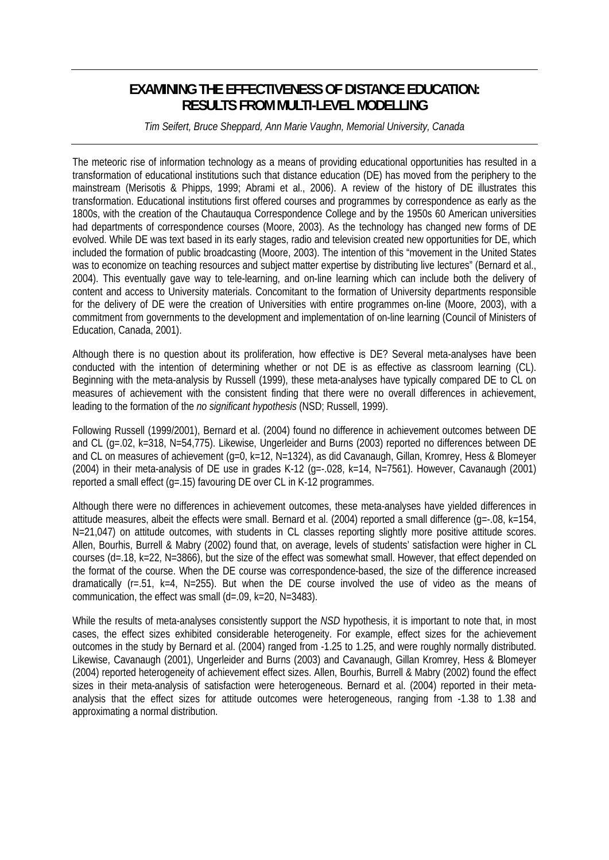# **EXAMINING THE EFFECTIVENESS OF DISTANCE EDUCATION: RESULTS FROM MULTI-LEVEL MODELLING**

*Tim Seifert, Bruce Sheppard, Ann Marie Vaughn, Memorial University, Canada* 

The meteoric rise of information technology as a means of providing educational opportunities has resulted in a transformation of educational institutions such that distance education (DE) has moved from the periphery to the mainstream (Merisotis & Phipps, 1999; Abrami et al., 2006). A review of the history of DE illustrates this transformation. Educational institutions first offered courses and programmes by correspondence as early as the 1800s, with the creation of the Chautauqua Correspondence College and by the 1950s 60 American universities had departments of correspondence courses (Moore, 2003). As the technology has changed new forms of DE evolved. While DE was text based in its early stages, radio and television created new opportunities for DE, which included the formation of public broadcasting (Moore, 2003). The intention of this "movement in the United States was to economize on teaching resources and subject matter expertise by distributing live lectures" (Bernard et al., 2004). This eventually gave way to tele-learning, and on-line learning which can include both the delivery of content and access to University materials. Concomitant to the formation of University departments responsible for the delivery of DE were the creation of Universities with entire programmes on-line (Moore, 2003), with a commitment from governments to the development and implementation of on-line learning (Council of Ministers of Education, Canada, 2001).

Although there is no question about its proliferation, how effective is DE? Several meta-analyses have been conducted with the intention of determining whether or not DE is as effective as classroom learning (CL). Beginning with the meta-analysis by Russell (1999), these meta-analyses have typically compared DE to CL on measures of achievement with the consistent finding that there were no overall differences in achievement, leading to the formation of the *no significant hypothesis* (NSD; Russell, 1999).

Following Russell (1999/2001), Bernard et al. (2004) found no difference in achievement outcomes between DE and CL (g=.02, k=318, N=54,775). Likewise, Ungerleider and Burns (2003) reported no differences between DE and CL on measures of achievement (q=0, k=12, N=1324), as did Cavanaugh, Gillan, Kromrey, Hess & Blomeyer (2004) in their meta-analysis of DE use in grades K-12 (g=-.028, k=14, N=7561). However, Cavanaugh (2001) reported a small effect (g=.15) favouring DE over CL in K-12 programmes.

Although there were no differences in achievement outcomes, these meta-analyses have yielded differences in attitude measures, albeit the effects were small. Bernard et al. (2004) reported a small difference (g=-.08, k=154, N=21,047) on attitude outcomes, with students in CL classes reporting slightly more positive attitude scores. Allen, Bourhis, Burrell & Mabry (2002) found that, on average, levels of students' satisfaction were higher in CL courses (d=.18, k=22, N=3866), but the size of the effect was somewhat small. However, that effect depended on the format of the course. When the DE course was correspondence-based, the size of the difference increased dramatically ( $r = .51$ ,  $k=4$ ,  $N=255$ ). But when the DE course involved the use of video as the means of communication, the effect was small (d=.09, k=20, N=3483).

While the results of meta-analyses consistently support the *NSD* hypothesis, it is important to note that, in most cases, the effect sizes exhibited considerable heterogeneity. For example, effect sizes for the achievement outcomes in the study by Bernard et al. (2004) ranged from -1.25 to 1.25, and were roughly normally distributed. Likewise, Cavanaugh (2001), Ungerleider and Burns (2003) and Cavanaugh, Gillan Kromrey, Hess & Blomeyer (2004) reported heterogeneity of achievement effect sizes. Allen, Bourhis, Burrell & Mabry (2002) found the effect sizes in their meta-analysis of satisfaction were heterogeneous. Bernard et al. (2004) reported in their metaanalysis that the effect sizes for attitude outcomes were heterogeneous, ranging from -1.38 to 1.38 and approximating a normal distribution.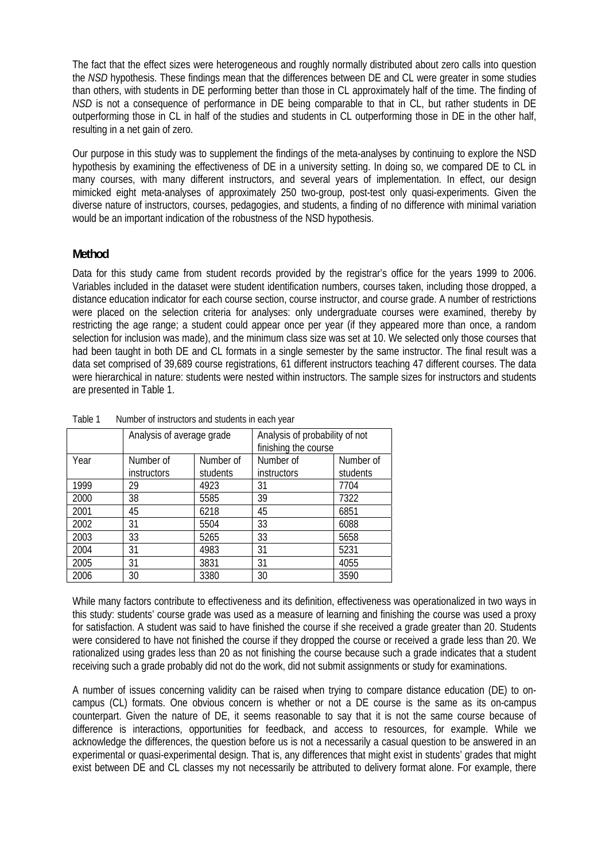The fact that the effect sizes were heterogeneous and roughly normally distributed about zero calls into question the *NSD* hypothesis. These findings mean that the differences between DE and CL were greater in some studies than others, with students in DE performing better than those in CL approximately half of the time. The finding of *NSD* is not a consequence of performance in DE being comparable to that in CL, but rather students in DE outperforming those in CL in half of the studies and students in CL outperforming those in DE in the other half, resulting in a net gain of zero.

Our purpose in this study was to supplement the findings of the meta-analyses by continuing to explore the NSD hypothesis by examining the effectiveness of DE in a university setting. In doing so, we compared DE to CL in many courses, with many different instructors, and several years of implementation. In effect, our design mimicked eight meta-analyses of approximately 250 two-group, post-test only quasi-experiments. Given the diverse nature of instructors, courses, pedagogies, and students, a finding of no difference with minimal variation would be an important indication of the robustness of the NSD hypothesis.

## **Method**

Data for this study came from student records provided by the registrar's office for the years 1999 to 2006. Variables included in the dataset were student identification numbers, courses taken, including those dropped, a distance education indicator for each course section, course instructor, and course grade. A number of restrictions were placed on the selection criteria for analyses: only undergraduate courses were examined, thereby by restricting the age range; a student could appear once per year (if they appeared more than once, a random selection for inclusion was made), and the minimum class size was set at 10. We selected only those courses that had been taught in both DE and CL formats in a single semester by the same instructor. The final result was a data set comprised of 39,689 course registrations, 61 different instructors teaching 47 different courses. The data were hierarchical in nature: students were nested within instructors. The sample sizes for instructors and students are presented in Table 1.

|      | Analysis of average grade |           | Analysis of probability of not |           |  |  |
|------|---------------------------|-----------|--------------------------------|-----------|--|--|
|      |                           |           | finishing the course           |           |  |  |
| Year | Number of                 | Number of | Number of                      | Number of |  |  |
|      | <b>instructors</b>        | students  | <i>instructors</i>             | students  |  |  |
| 1999 | 29                        | 4923      | 31                             | 7704      |  |  |
| 2000 | 38                        | 5585      | 39                             | 7322      |  |  |
| 2001 | 45                        | 6218      | 45                             | 6851      |  |  |
| 2002 | 31                        | 5504      | 33                             | 6088      |  |  |
| 2003 | 33                        | 5265      | 33                             | 5658      |  |  |
| 2004 | 31                        | 4983      | 31                             | 5231      |  |  |
| 2005 | 31                        | 3831      | 31                             | 4055      |  |  |
| 2006 | 30                        | 3380      | 30                             | 3590      |  |  |

Table 1 Number of instructors and students in each year

While many factors contribute to effectiveness and its definition, effectiveness was operationalized in two ways in this study: students' course grade was used as a measure of learning and finishing the course was used a proxy for satisfaction. A student was said to have finished the course if she received a grade greater than 20. Students were considered to have not finished the course if they dropped the course or received a grade less than 20. We rationalized using grades less than 20 as not finishing the course because such a grade indicates that a student receiving such a grade probably did not do the work, did not submit assignments or study for examinations.

A number of issues concerning validity can be raised when trying to compare distance education (DE) to oncampus (CL) formats. One obvious concern is whether or not a DE course is the same as its on-campus counterpart. Given the nature of DE, it seems reasonable to say that it is not the same course because of difference is interactions, opportunities for feedback, and access to resources, for example. While we acknowledge the differences, the question before us is not a necessarily a casual question to be answered in an experimental or quasi-experimental design. That is, any differences that might exist in students' grades that might exist between DE and CL classes my not necessarily be attributed to delivery format alone. For example, there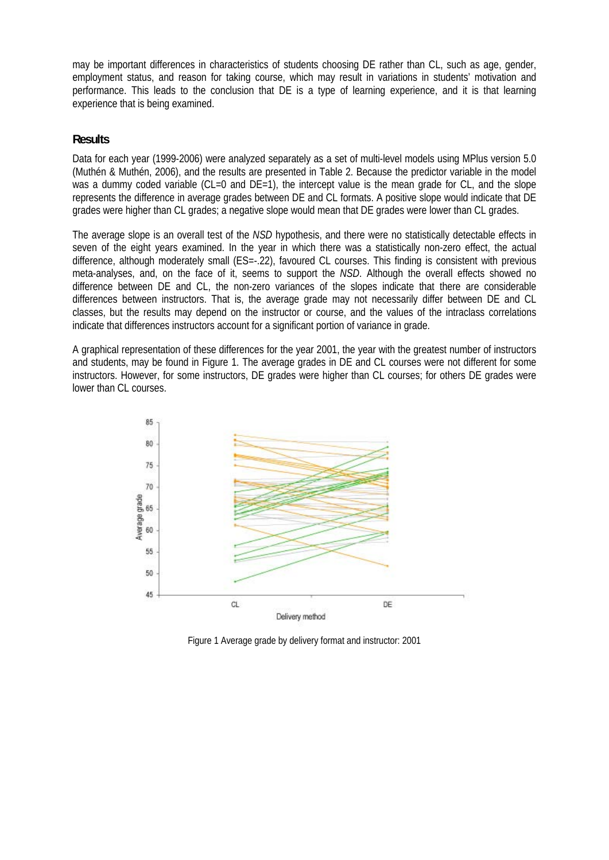may be important differences in characteristics of students choosing DE rather than CL, such as age, gender, employment status, and reason for taking course, which may result in variations in students' motivation and performance. This leads to the conclusion that DE is a type of learning experience, and it is that learning experience that is being examined.

### **Results**

Data for each year (1999-2006) were analyzed separately as a set of multi-level models using MPlus version 5.0 (Muthén & Muthén, 2006), and the results are presented in Table 2. Because the predictor variable in the model was a dummy coded variable (CL=0 and DE=1), the intercept value is the mean grade for CL, and the slope represents the difference in average grades between DE and CL formats. A positive slope would indicate that DE grades were higher than CL grades; a negative slope would mean that DE grades were lower than CL grades.

The average slope is an overall test of the *NSD* hypothesis, and there were no statistically detectable effects in seven of the eight years examined. In the year in which there was a statistically non-zero effect, the actual difference, although moderately small (ES=-.22), favoured CL courses. This finding is consistent with previous meta-analyses, and, on the face of it, seems to support the *NSD*. Although the overall effects showed no difference between DE and CL, the non-zero variances of the slopes indicate that there are considerable differences between instructors. That is, the average grade may not necessarily differ between DE and CL classes, but the results may depend on the instructor or course, and the values of the intraclass correlations indicate that differences instructors account for a significant portion of variance in grade.

A graphical representation of these differences for the year 2001, the year with the greatest number of instructors and students, may be found in Figure 1. The average grades in DE and CL courses were not different for some instructors. However, for some instructors, DE grades were higher than CL courses; for others DE grades were lower than CL courses.



Figure 1 Average grade by delivery format and instructor: 2001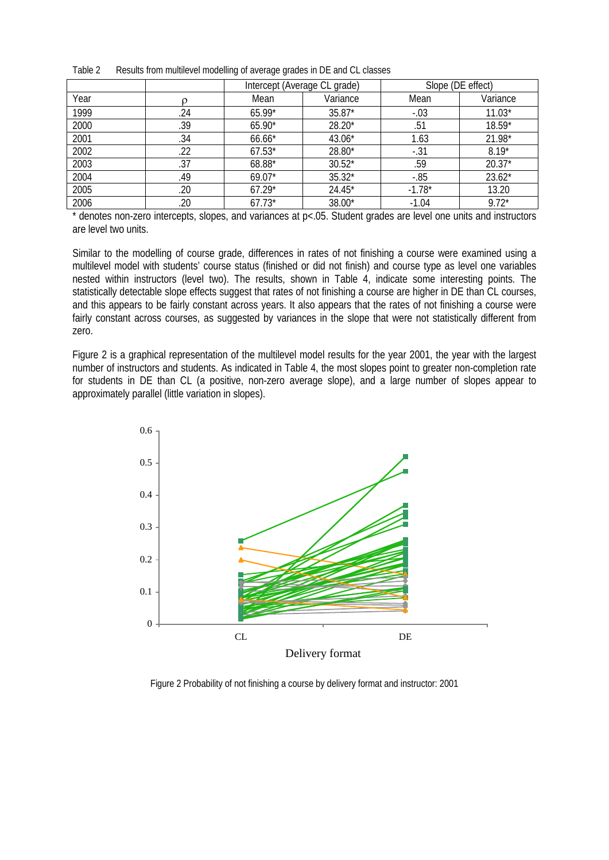|      |     | Intercept (Average CL grade) |          | Slope (DE effect) |          |
|------|-----|------------------------------|----------|-------------------|----------|
| Year |     | Mean                         | Variance | Mean              | Variance |
| 1999 | .24 | $65.99*$                     | $35.87*$ | $-.03$            | $11.03*$ |
| 2000 | .39 | $65.90*$                     | $28.20*$ | .51               | 18.59*   |
| 2001 | .34 | 66.66*                       | 43.06*   | 1.63              | 21.98*   |
| 2002 | .22 | $67.53*$                     | 28.80*   | $-.31$            | $8.19*$  |
| 2003 | .37 | 68.88*                       | $30.52*$ | .59               | $20.37*$ |
| 2004 | .49 | $69.07*$                     | $35.32*$ | $-0.85$           | $23.62*$ |
| 2005 | .20 | $67.29*$                     | 24.45*   | $-1.78*$          | 13.20    |
| 2006 | .20 | $67.73*$                     | 38.00*   | $-1.04$           | $9.72*$  |

Table 2 Results from multilevel modelling of average grades in DE and CL classes

\* denotes non-zero intercepts, slopes, and variances at p<.05. Student grades are level one units and instructors are level two units.

Similar to the modelling of course grade, differences in rates of not finishing a course were examined using a multilevel model with students' course status (finished or did not finish) and course type as level one variables nested within instructors (level two). The results, shown in Table 4, indicate some interesting points. The statistically detectable slope effects suggest that rates of not finishing a course are higher in DE than CL courses. and this appears to be fairly constant across years. It also appears that the rates of not finishing a course were fairly constant across courses, as suggested by variances in the slope that were not statistically different from zero.

Figure 2 is a graphical representation of the multilevel model results for the year 2001, the year with the largest number of instructors and students. As indicated in Table 4, the most slopes point to greater non-completion rate for students in DE than CL (a positive, non-zero average slope), and a large number of slopes appear to approximately parallel (little variation in slopes).



Figure 2 Probability of not finishing a course by delivery format and instructor: 2001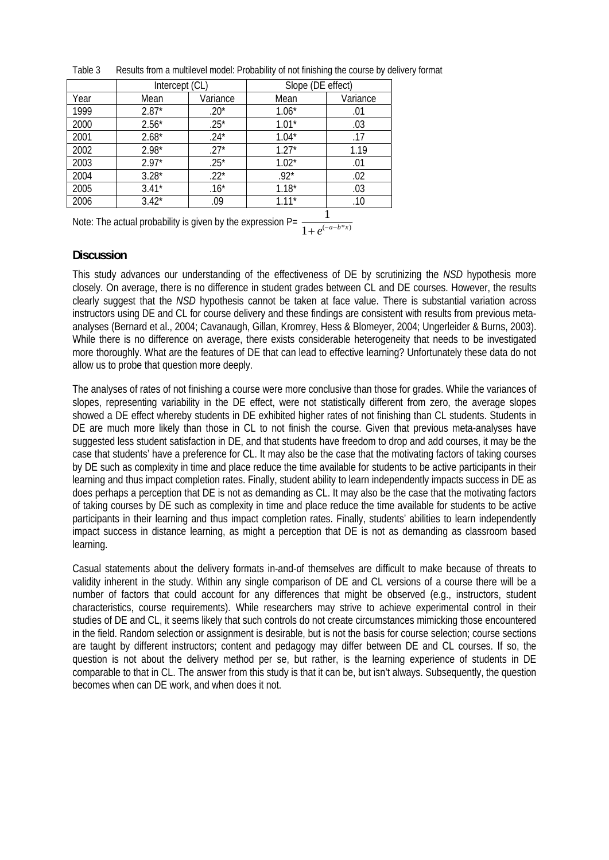|      | Intercept (CL) |          | Slope (DE effect) |                      |
|------|----------------|----------|-------------------|----------------------|
| Year | Mean           | Variance | Mean              | Variance             |
| 1999 | $2.87*$        | $.20*$   | $1.06*$           | .01                  |
| 2000 | $2.56*$        | $.25*$   | $1.01*$           | .03                  |
| 2001 | $2.68*$        | $.24*$   | $1.04*$           | .17                  |
| 2002 | $2.98*$        | $.27*$   | $1.27*$           | 1.19                 |
| 2003 | $2.97*$        | $.25*$   | $1.02*$           | .01                  |
| 2004 | $3.28*$        | $.22*$   | $.92*$            | .02                  |
| 2005 | $3.41*$        | $.16*$   | $1.18*$           | .03                  |
| 2006 | $3.42*$        | .09      | $1.11*$           | .10                  |
|      |                |          |                   | $\blacktriangleleft$ |

Table 3 Results from a multilevel model: Probability of not finishing the course by delivery format

Note: The actual probability is given by the expression P=  $\frac{1}{1-\frac{1}{2}}$  $1 + e^{(-a-b*x)}$ 

### **Discussion**

This study advances our understanding of the effectiveness of DE by scrutinizing the *NSD* hypothesis more closely. On average, there is no difference in student grades between CL and DE courses. However, the results clearly suggest that the *NSD* hypothesis cannot be taken at face value. There is substantial variation across instructors using DE and CL for course delivery and these findings are consistent with results from previous metaanalyses (Bernard et al., 2004; Cavanaugh, Gillan, Kromrey, Hess & Blomeyer, 2004; Ungerleider & Burns, 2003). While there is no difference on average, there exists considerable heterogeneity that needs to be investigated more thoroughly. What are the features of DE that can lead to effective learning? Unfortunately these data do not allow us to probe that question more deeply.

The analyses of rates of not finishing a course were more conclusive than those for grades. While the variances of slopes, representing variability in the DE effect, were not statistically different from zero, the average slopes showed a DE effect whereby students in DE exhibited higher rates of not finishing than CL students. Students in DE are much more likely than those in CL to not finish the course. Given that previous meta-analyses have suggested less student satisfaction in DE, and that students have freedom to drop and add courses, it may be the case that students' have a preference for CL. It may also be the case that the motivating factors of taking courses by DE such as complexity in time and place reduce the time available for students to be active participants in their learning and thus impact completion rates. Finally, student ability to learn independently impacts success in DE as does perhaps a perception that DE is not as demanding as CL. It may also be the case that the motivating factors of taking courses by DE such as complexity in time and place reduce the time available for students to be active participants in their learning and thus impact completion rates. Finally, students' abilities to learn independently impact success in distance learning, as might a perception that DE is not as demanding as classroom based learning.

Casual statements about the delivery formats in-and-of themselves are difficult to make because of threats to validity inherent in the study. Within any single comparison of DE and CL versions of a course there will be a number of factors that could account for any differences that might be observed (e.g., instructors, student characteristics, course requirements). While researchers may strive to achieve experimental control in their studies of DE and CL, it seems likely that such controls do not create circumstances mimicking those encountered in the field. Random selection or assignment is desirable, but is not the basis for course selection; course sections are taught by different instructors; content and pedagogy may differ between DE and CL courses. If so, the question is not about the delivery method per se, but rather, is the learning experience of students in DE comparable to that in CL. The answer from this study is that it can be, but isn't always. Subsequently, the question becomes when can DE work, and when does it not.